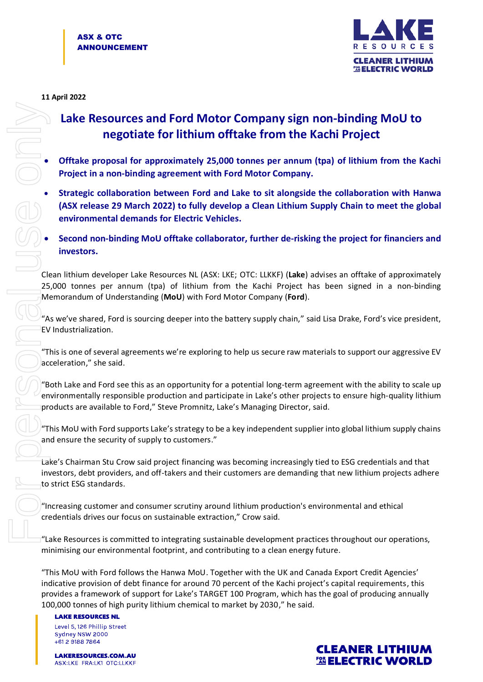

## **11 April 2022**

## **Lake Resources and Ford Motor Company sign non-binding MoU to negotiate for lithium offtake from the Kachi Project**

- **Offtake proposal for approximately 25,000 tonnes per annum (tpa) of lithium from the Kachi Project in a non-binding agreement with Ford Motor Company.**
- **Strategic collaboration between Ford and Lake to sit alongside the collaboration with Hanwa (ASX release 29 March 2022) to fully develop a Clean Lithium Supply Chain to meet the global environmental demands for Electric Vehicles.**
- **Second non-binding MoU offtake collaborator, further de-risking the project for financiers and investors.**

Clean lithium developer Lake Resources NL (ASX: LKE; OTC: LLKKF) (**Lake**) advises an offtake of approximately 25,000 tonnes per annum (tpa) of lithium from the Kachi Project has been signed in a non-binding Memorandum of Understanding (**MoU**) with Ford Motor Company (**Ford**).

"As we've shared, Ford is sourcing deeper into the battery supply chain," said Lisa Drake, Ford's vice president, EV Industrialization.

"This is one of several agreements we're exploring to help us secure raw materials to support our aggressive EV acceleration," she said.

"Both Lake and Ford see this as an opportunity for a potential long-term agreement with the ability to scale up environmentally responsible production and participate in Lake's other projects to ensure high-quality lithium products are available to Ford," Steve Promnitz, Lake's Managing Director, said.

"This MoU with Ford supports Lake's strategy to be a key independent supplier into global lithium supply chains and ensure the security of supply to customers."

Lake's Chairman Stu Crow said project financing was becoming increasingly tied to ESG credentials and that investors, debt providers, and off-takers and their customers are demanding that new lithium projects adhere to strict ESG standards.

"Increasing customer and consumer scrutiny around lithium production's environmental and ethical credentials drives our focus on sustainable extraction," Crow said.

"Lake Resources is committed to integrating sustainable development practices throughout our operations, minimising our environmental footprint, and contributing to a clean energy future.

"This MoU with Ford follows the Hanwa MoU. Together with the UK and Canada Export Credit Agencies' indicative provision of debt finance for around 70 percent of the Kachi project's capital requirements, this provides a framework of support for Lake's TARGET 100 Program, which has the goal of producing annually 100,000 tonnes of high purity lithium chemical to market by 2030," he said.

**LAKE RESOURCES NL** Level 5, 126 Phillip Street Sydney NSW 2000  $+61291887864$ 

**LAKERESOURCES.COM.AU** ASX:LKE FRA:LK1 OTC:LLKKF

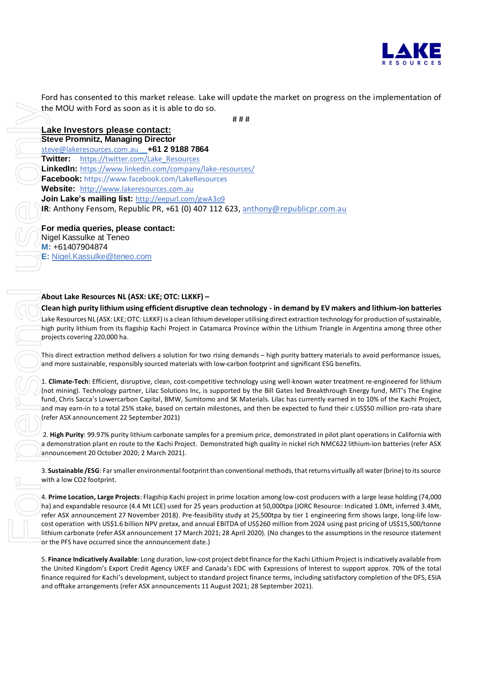

Ford has consented to this market release. Lake will update the market on progress on the implementation of the MOU with Ford as soon as it is able to do so.

# # # **Lake Investors please contact: Steve Promnitz, Managing Director** [steve@lakeresources.com.au](mailto:steve@lakeresources.com.au) **+61 2 9188 7864 Twitter:** [https://twitter.com/Lake\\_Resources](https://twitter.com/Lake_Resources) **LinkedIn:** <https://www.linkedin.com/company/lake-resources/> **Facebook:** https://www.facebook.com/LakeResources **Website:** [http://www.lakeresources.com.au](http://www.lakeresources.com.au/) **Join Lake's mailing list:** <http://eepurl.com/gwA3o9> **IR**: Anthony Fensom, Republic PR, +61 (0) 407 112 623, [anthony@republicpr.com.au](mailto:anthony@republicpr.com.au) **For media queries, please contact:** the MOU with Ford as soon as it is able to do so.<br> **Lake Investors Deales contact:**<br> **Sieve Prominitz, Managing Director**<br> **Sieve Prominitz, Managing Director**<br> **Envelope arrangements (referred Association**)<br> **Contact int** 

Nigel Kassulke at Teneo **M:** +61407904874 **E:** [Nigel.Kassulke@teneo.com](mailto:Nigel.Kassulke@teneo.com)

## **About Lake Resources NL (ASX: LKE; OTC: LLKKF) –**

**Clean high purity lithium using efficient disruptive clean technology - in demand by EV makers and lithium-ion batteries** Lake Resources NL (ASX: LKE;OTC: LLKKF) is a clean lithium developer utilising direct extraction technology for production of sustainable, high purity lithium from its flagship Kachi Project in Catamarca Province within the Lithium Triangle in Argentina among three other projects covering 220,000 ha.

This direct extraction method delivers a solution for two rising demands – high purity battery materials to avoid performance issues, and more sustainable, responsibly sourced materials with low-carbon footprint and significant ESG benefits.

1. **Climate-Tech**: Efficient, disruptive, clean, cost-competitive technology using well-known water treatment re-engineered for lithium (not mining). Technology partner, Lilac Solutions Inc, is supported by the Bill Gates led Breakthrough Energy fund, MIT's The Engine fund, Chris Sacca's Lowercarbon Capital, BMW, Sumitomo and SK Materials. Lilac has currently earned in to 10% of the Kachi Project, and may earn-in to a total 25% stake, based on certain milestones, and then be expected to fund their c.US\$50 million pro-rata share (refer ASX announcement 22 September 2021)

2. **High Purity**: 99.97% purity lithium carbonate samples for a premium price, demonstrated in pilot plant operations in California with a demonstration plant en route to the Kachi Project. Demonstrated high quality in nickel rich NMC622 lithium-ion batteries (refer ASX announcement 20 October 2020; 2 March 2021).

3. **Sustainable /ESG**: Far smaller environmental footprint than conventional methods, that returns virtually all water (brine) to its source with a low CO2 footprint.

4. **Prime Location, Large Projects**: Flagship Kachi project in prime location among low-cost producers with a large lease holding (74,000 ha) and expandable resource (4.4 Mt LCE) used for 25 years production at 50,000tpa (JORC Resource: Indicated 1.0Mt, inferred 3.4Mt, refer ASX announcement 27 November 2018). Pre-feasibility study at 25,500tpa by tier 1 engineering firm shows large, long-life lowcost operation with US\$1.6 billion NPV pretax, and annual EBITDA of US\$260 million from 2024 using past pricing of US\$15,500/tonne lithium carbonate (refer ASX announcement 17 March 2021; 28 April 2020). (No changes to the assumptions in the resource statement or the PFS have occurred since the announcement date.)

5. **Finance Indicatively Available**: Long duration, low-cost project debt finance for the Kachi Lithium Project is indicatively available from the United Kingdom's Export Credit Agency UKEF and Canada's EDC with Expressions of Interest to support approx. 70% of the total finance required for Kachi's development, subject to standard project finance terms, including satisfactory completion of the DFS, ESIA